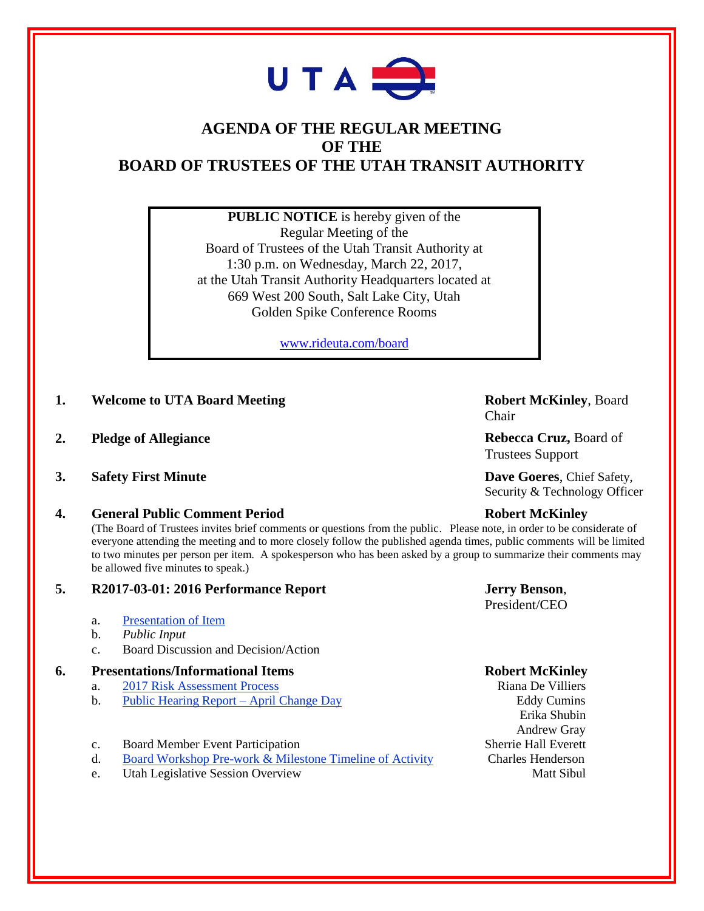

# **AGENDA OF THE REGULAR MEETING OF THE BOARD OF TRUSTEES OF THE UTAH TRANSIT AUTHORITY**

**PUBLIC NOTICE** is hereby given of the Regular Meeting of the Board of Trustees of the Utah Transit Authority at 1:30 p.m. on Wednesday, March 22, 2017, at the Utah Transit Authority Headquarters located at 669 West 200 South, Salt Lake City, Utah Golden Spike Conference Rooms

[www.rideuta.com/board](http://www.rideuta.com/board)

- **1. Welcome to UTA Board Meeting Robert McKinley**, Board
- **2. Pledge of Allegiance Rebecca Cruz, Board of**
- **3. Safety First Minute Dave Goeres**, Chief Safety,

### **4. General Public Comment Period Robert McKinley**

(The Board of Trustees invites brief comments or questions from the public. Please note, in order to be considerate of everyone attending the meeting and to more closely follow the published agenda times, public comments will be limited to two minutes per person per item. A spokesperson who has been asked by a group to summarize their comments may be allowed five minutes to speak.)

### **5. R2017-03-01: 2016 Performance Report Jerry Benson**,

- a. Presentation of Item
- b. *Public Input*
- c. Board Discussion and Decision/Action

## **6. Presentations/Informational Items Robert McKinley**

- **a.** 2017 Risk Assessment Process **Riana De Villiers** Riana De Villiers
- b. Public Hearing Report April Change Day Eddy Cumins
- c. Board Member Event Participation Sherrie Hall Everett
- d. Board Workshop Pre-work & Milestone Timeline of Activity Charles Henderson
- **e.** Utah Legislative Session Overview Matt Sibul

Chair

Trustees Support

Security & Technology Officer

President/CEO

 Erika Shubin Andrew Gray